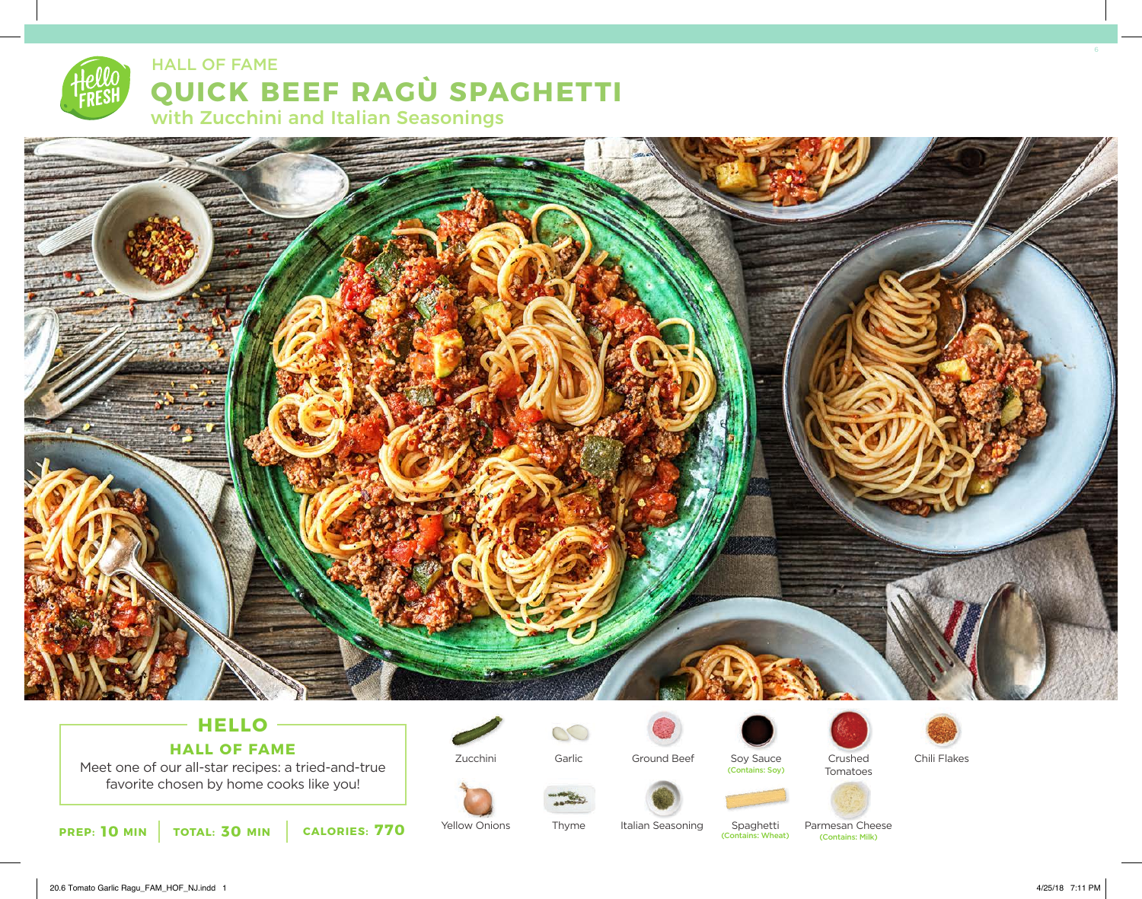



## **HELLO HALL OF FAME**

Meet one of our all-star recipes: a tried-and-true favorite chosen by home cooks like you!



Zucchini

 $\circlearrowright$ Garlic



Ground Beef Soy Sauce Crushed Chili Flakes (Contains: Soy)







Yellow Onions Thyme Italian Seasoning Spaghetti

(Contains: Wheat)

Parmesan Cheese<br> **Contains: Milk**)

Tomatoes